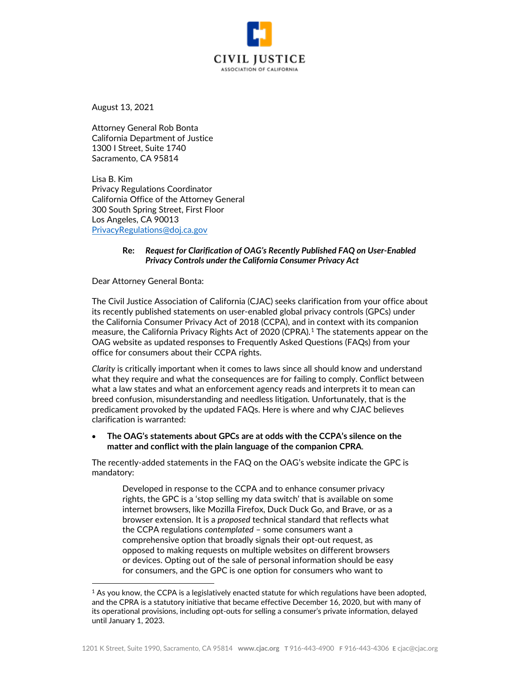

August 13, 2021

Attorney General Rob Bonta California Department of Justice 1300 I Street, Suite 1740 Sacramento, CA 95814

Lisa B. Kim Privacy Regulations Coordinator California Office of the Attorney General 300 South Spring Street, First Floor Los Angeles, CA 90013 [PrivacyRegulations@doj.ca.gov](mailto:PrivacyRegulations@doj.ca.gov)

## **Re:** *Request for Clarification of OAG's Recently Published FAQ on User-Enabled Privacy Controls under the California Consumer Privacy Act*

Dear Attorney General Bonta:

The Civil Justice Association of California (CJAC) seeks clarification from your office about its recently published statements on user-enabled global privacy controls (GPCs) under the California Consumer Privacy Act of 2018 (CCPA), and in context with its companion measure, the California Privacy Rights Act of 2020 (CPRA).<sup>[1](#page-0-0)</sup> The statements appear on the OAG website as updated responses to Frequently Asked Questions (FAQs) from your office for consumers about their CCPA rights.

*Clarity* is critically important when it comes to laws since all should know and understand what they require and what the consequences are for failing to comply. Conflict between what a law states and what an enforcement agency reads and interprets it to mean can breed confusion, misunderstanding and needless litigation. Unfortunately, that is the predicament provoked by the updated FAQs. Here is where and why CJAC believes clarification is warranted:

• **The OAG's statements about GPCs are at odds with the CCPA's silence on the matter and conflict with the plain language of the companion CPRA**.

The recently-added statements in the FAQ on the OAG's website indicate the GPC is mandatory:

Developed in response to the CCPA and to enhance consumer privacy rights, the GPC is a 'stop selling my data switch' that is available on some internet browsers, like Mozilla Firefox, Duck Duck Go, and Brave, or as a browser extension. It is a *proposed* technical standard that reflects what the CCPA regulations *contemplated* – some consumers want a comprehensive option that broadly signals their opt-out request, as opposed to making requests on multiple websites on different browsers or devices. Opting out of the sale of personal information should be easy for consumers, and the GPC is one option for consumers who want to

<span id="page-0-0"></span> $1$  As you know, the CCPA is a legislatively enacted statute for which regulations have been adopted, and the CPRA is a statutory initiative that became effective December 16, 2020, but with many of its operational provisions, including opt-outs for selling a consumer's private information, delayed until January 1, 2023.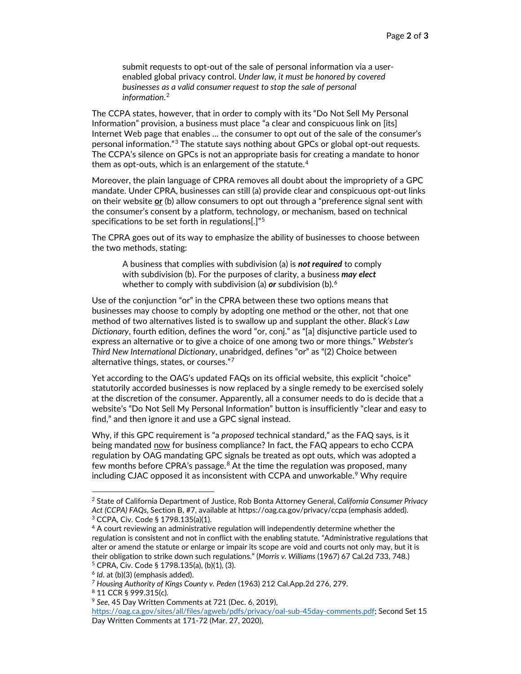submit requests to opt-out of the sale of personal information via a userenabled global privacy control. *Under law, it must be honored by covered businesses as a valid consumer request to stop the sale of personal information*. [2](#page-1-0)

The CCPA states, however, that in order to comply with its "Do Not Sell My Personal Information" provision, a business must place "a clear and conspicuous link on [its] Internet Web page that enables … the consumer to opt out of the sale of the consumer's personal information."[3](#page-1-1) The statute says nothing about GPCs or global opt-out requests. The CCPA's silence on GPCs is not an appropriate basis for creating a mandate to honor them as opt-outs, which is an enlargement of the statute. $^{\rm 4}$  $^{\rm 4}$  $^{\rm 4}$ 

Moreover, the plain language of CPRA removes all doubt about the impropriety of a GPC mandate. Under CPRA, businesses can still (a) provide clear and conspicuous opt-out links on their website **or** (b) allow consumers to opt out through a "preference signal sent with the consumer's consent by a platform, technology, or mechanism, based on technical specifications to be set forth in regulations[.]"<sup>[5](#page-1-3)</sup>

The CPRA goes out of its way to emphasize the ability of businesses to choose between the two methods, stating:

A business that complies with subdivision (a) is *not required* to comply with subdivision (b). For the purposes of clarity, a business *may elect* whether to comply with subdivision (a) *or* subdivision (b).[6](#page-1-4)

Use of the conjunction "or" in the CPRA between these two options means that businesses may choose to comply by adopting one method or the other, not that one method of two alternatives listed is to swallow up and supplant the other. *Black's Law Dictionary*, fourth edition, defines the word "or, conj." as "[a] disjunctive particle used to express an alternative or to give a choice of one among two or more things." *Webster's Third New International Dictionary*, unabridged, defines "or" as "(2) Choice between alternative things, states, or courses."[7](#page-1-5)

Yet according to the OAG's updated FAQs on its official website, this explicit "choice" statutorily accorded businesses is now replaced by a single remedy to be exercised solely at the discretion of the consumer. Apparently, all a consumer needs to do is decide that a website's "Do Not Sell My Personal Information" button is insufficiently "clear and easy to find," and then ignore it and use a GPC signal instead.

Why, if this GPC requirement is "a *proposed* technical standard," as the FAQ says, is it being mandated now for business compliance? In fact, the FAQ appears to echo CCPA regulation by OAG mandating GPC signals be treated as opt outs, which was adopted a few months before CPRA's passage.<sup>[8](#page-1-6)</sup> At the time the regulation was proposed, many including CJAC opposed it as inconsistent with CCPA and unworkable. [9](#page-1-7) Why require

<span id="page-1-0"></span><sup>2</sup> State of California Department of Justice, Rob Bonta Attorney General, *California Consumer Privacy Act (CCPA) FAQs*, Section B, #7, available at https://oag.ca.gov/privacy/ccpa (emphasis added). <sup>3</sup> CCPA, Civ. Code § 1798.135(a)(1).

<span id="page-1-2"></span><span id="page-1-1"></span><sup>&</sup>lt;sup>4</sup> A court reviewing an administrative regulation will independently determine whether the regulation is consistent and not in conflict with the enabling statute. "Administrative regulations that alter or amend the statute or enlarge or impair its scope are void and courts not only may, but it is their obligation to strike down such regulations." (*Morris v. Williams* (1967) 67 Cal.2d 733, 748.) <sup>5</sup> CPRA, Civ. Code § 1798.135(a), (b)(1), (3).

<span id="page-1-4"></span><span id="page-1-3"></span><sup>6</sup> *Id*. at (b)(3) (emphasis added).

<span id="page-1-6"></span><span id="page-1-5"></span><sup>7</sup> *Housing Authority of Kings County v. Peden* (1963) 212 Cal.App.2d 276, 279.

<sup>8</sup> 11 CCR § 999.315(c).

<span id="page-1-7"></span><sup>9</sup> *See*, 45 Day Written Comments at 721 (Dec. 6, 2019), [https://oag.ca.gov/sites/all/files/agweb/pdfs/privacy/oal-sub-45day-comments.pdf;](https://oag.ca.gov/sites/all/files/agweb/pdfs/privacy/oal-sub-45day-comments.pdf) Second Set 15 Day Written Comments at 171-72 (Mar. 27, 2020),